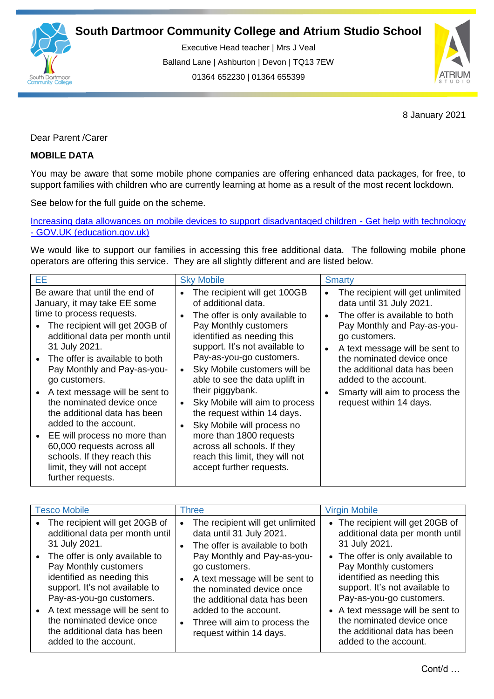

Executive Head teacher | Mrs J Veal Balland Lane | Ashburton | Devon | TQ13 7EW 01364 652230 | 01364 655399

ww.south.co.uk | [www.atrium-studio.co.uk](http://www.atrium-studio.co.uk/) | www.atrium-studio.co.uk



8 January 2021

Dear Parent /Carer

## **MOBILE DATA**

You may be aware that some mobile phone companies are offering enhanced data packages, for free, to support families with children who are currently learning at home as a result of the most recent lockdown.

See below for the full guide on the scheme.

[Increasing data allowances on mobile devices to support disadvantaged children -](https://get-help-with-tech.education.gov.uk/about-increasing-mobile-data) Get help with technology - [GOV.UK \(education.gov.uk\)](https://get-help-with-tech.education.gov.uk/about-increasing-mobile-data)

We would like to support our families in accessing this free additional data. The following mobile phone operators are offering this service. They are all slightly different and are listed below.

| ЕE                                                                                                                                                                                                                                                                                                                                                                                                                                                                                                                                               | <b>Sky Mobile</b>                                                                                                                                                                                                                                                                                                                                                                                                                                                                                                        | <b>Smarty</b>                                                                                                                                                                                                                                                                                                                       |
|--------------------------------------------------------------------------------------------------------------------------------------------------------------------------------------------------------------------------------------------------------------------------------------------------------------------------------------------------------------------------------------------------------------------------------------------------------------------------------------------------------------------------------------------------|--------------------------------------------------------------------------------------------------------------------------------------------------------------------------------------------------------------------------------------------------------------------------------------------------------------------------------------------------------------------------------------------------------------------------------------------------------------------------------------------------------------------------|-------------------------------------------------------------------------------------------------------------------------------------------------------------------------------------------------------------------------------------------------------------------------------------------------------------------------------------|
| Be aware that until the end of<br>January, it may take EE some<br>time to process requests.<br>The recipient will get 20GB of<br>additional data per month until<br>31 July 2021.<br>• The offer is available to both<br>Pay Monthly and Pay-as-you-<br>go customers.<br>• A text message will be sent to<br>the nominated device once<br>the additional data has been<br>added to the account.<br>EE will process no more than<br>60,000 requests across all<br>schools. If they reach this<br>limit, they will not accept<br>further requests. | The recipient will get 100GB<br>of additional data.<br>The offer is only available to<br>Pay Monthly customers<br>identified as needing this<br>support. It's not available to<br>Pay-as-you-go customers.<br>Sky Mobile customers will be<br>able to see the data uplift in<br>their piggybank.<br>Sky Mobile will aim to process<br>the request within 14 days.<br>Sky Mobile will process no<br>more than 1800 requests<br>across all schools. If they<br>reach this limit, they will not<br>accept further requests. | The recipient will get unlimited<br>data until 31 July 2021.<br>The offer is available to both<br>Pay Monthly and Pay-as-you-<br>go customers.<br>A text message will be sent to<br>the nominated device once<br>the additional data has been<br>added to the account.<br>Smarty will aim to process the<br>request within 14 days. |